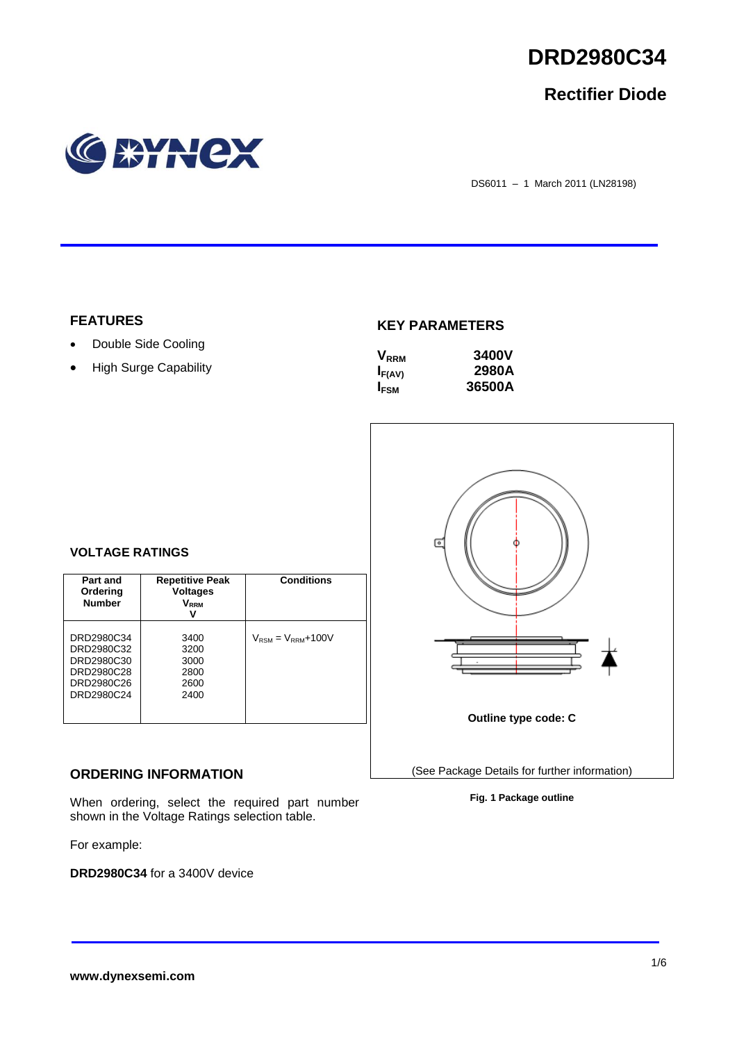

## **Rectifier Diode**



DS6011 – 1 March 2011 (LN28198)

## **FEATURES**

- Double Side Cooling
- High Surge Capability

## **KEY PARAMETERS**

| $V_{RRM}$   | <b>3400V</b> |
|-------------|--------------|
| $I_{F(AV)}$ | 2980A        |
| <b>IFSM</b> | 36500A       |



### **Fig. 1 Package outline**

### **VOLTAGE RATINGS**

| Part and<br>Ordering<br><b>Number</b>                                            | <b>Repetitive Peak</b><br><b>Voltages</b><br>V <sub>rrm</sub><br>ν | <b>Conditions</b>                        |
|----------------------------------------------------------------------------------|--------------------------------------------------------------------|------------------------------------------|
| DRD2980C34<br>DRD2980C32<br>DRD2980C30<br>DRD2980C28<br>DRD2980C26<br>DRD2980C24 | 3400<br>3200<br>3000<br>2800<br>2600<br>2400                       | $V_{\text{RSM}} = V_{\text{RRM}} + 100V$ |

## **ORDERING INFORMATION**

When ordering, select the required part number shown in the Voltage Ratings selection table.

For example:

**DRD2980C34** for a 3400V device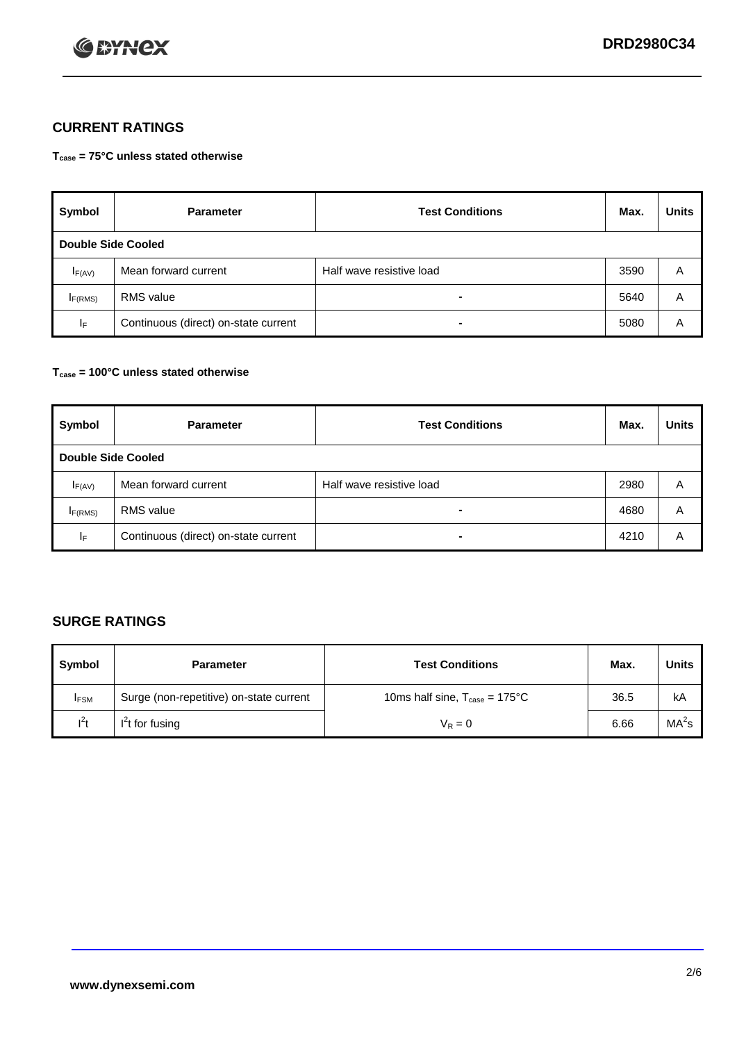

## **CURRENT RATINGS**

**Tcase = 75°C unless stated otherwise**

| Symbol              | <b>Parameter</b>                     | <b>Test Conditions</b>   | Max. | <b>Units</b> |  |  |
|---------------------|--------------------------------------|--------------------------|------|--------------|--|--|
|                     | Double Side Cooled                   |                          |      |              |  |  |
| $I_{F(AV)}$         | Mean forward current                 | Half wave resistive load | 3590 | A            |  |  |
| I <sub>F(RMS)</sub> | <b>RMS</b> value                     | -                        | 5640 | Α            |  |  |
| IF.                 | Continuous (direct) on-state current | -                        | 5080 | Α            |  |  |

### **Tcase = 100°C unless stated otherwise**

| Symbol              | <b>Parameter</b>                     | <b>Test Conditions</b>   | Max. | <b>Units</b> |  |  |
|---------------------|--------------------------------------|--------------------------|------|--------------|--|--|
|                     | <b>Double Side Cooled</b>            |                          |      |              |  |  |
| $I_{F(AV)}$         | Mean forward current                 | Half wave resistive load | 2980 | Α            |  |  |
| I <sub>F(RMS)</sub> | <b>RMS</b> value                     | $\overline{\phantom{0}}$ | 4680 | A            |  |  |
| IF                  | Continuous (direct) on-state current | ۰                        | 4210 | A            |  |  |

## **SURGE RATINGS**

| Symbol      | <b>Parameter</b>                        | <b>Test Conditions</b>                           | Max. | <b>Units</b>      |
|-------------|-----------------------------------------|--------------------------------------------------|------|-------------------|
| <b>IFSM</b> | Surge (non-repetitive) on-state current | 10ms half sine, $T_{\text{case}} = 175^{\circ}C$ | 36.5 | kA                |
| $l^2t$      | I't for fusing                          | $V_R = 0$                                        | 6.66 | MA <sup>2</sup> s |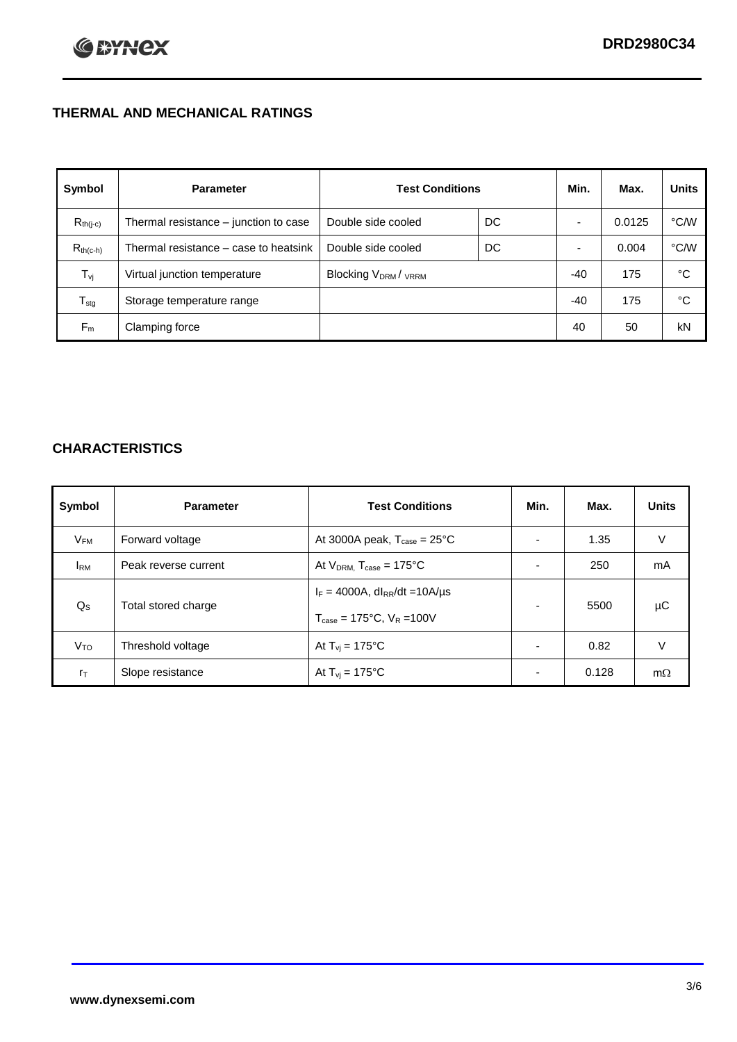## **THERMAL AND MECHANICAL RATINGS**

| Symbol           | <b>Parameter</b>                      | <b>Test Conditions</b>                      |    | Min.  | Max.   | <b>Units</b>  |
|------------------|---------------------------------------|---------------------------------------------|----|-------|--------|---------------|
| $R_{th(j-c)}$    | Thermal resistance - junction to case | Double side cooled                          | DC |       | 0.0125 | °C/W          |
| $R_{th(c-h)}$    | Thermal resistance – case to heatsink | Double side cooled                          | DC |       | 0.004  | $\degree$ C/W |
| $T_{\rm vj}$     | Virtual junction temperature          | Blocking V <sub>DRM</sub> / <sub>VRRM</sub> |    | -40   | 175    | °C            |
| $T_{\text{stg}}$ | Storage temperature range             |                                             |    | $-40$ | 175    | °C            |
| $F_m$            | Clamping force                        |                                             |    | 40    | 50     | kN            |

## **CHARACTERISTICS**

| Symbol                   | <b>Parameter</b>     | <b>Test Conditions</b>                          | Min.                     | Max.  | <b>Units</b> |
|--------------------------|----------------------|-------------------------------------------------|--------------------------|-------|--------------|
| $\mathsf{V}_\mathsf{FM}$ | Forward voltage      | At 3000A peak, $T_{\text{case}} = 25^{\circ}C$  | ۰                        | 1.35  | V            |
| <b>IRM</b>               | Peak reverse current | At $V_{DRM}$ , $T_{case} = 175^{\circ}C$        | $\overline{\phantom{0}}$ | 250   | mA           |
| $Q_{\rm S}$              | Total stored charge  | $I_F = 4000A$ , dl <sub>RR</sub> /dt = 10A/us   | $\overline{\phantom{0}}$ | 5500  | μC           |
|                          |                      | $T_{\text{case}} = 175^{\circ}$ C. $V_R = 100V$ |                          |       |              |
| V <sub>TO</sub>          | Threshold voltage    | At $T_{vi}$ = 175°C                             | $\overline{\phantom{a}}$ | 0.82  | V            |
| $r_{\text{T}}$           | Slope resistance     | At $T_{vi}$ = 175°C                             | ۰                        | 0.128 | $m\Omega$    |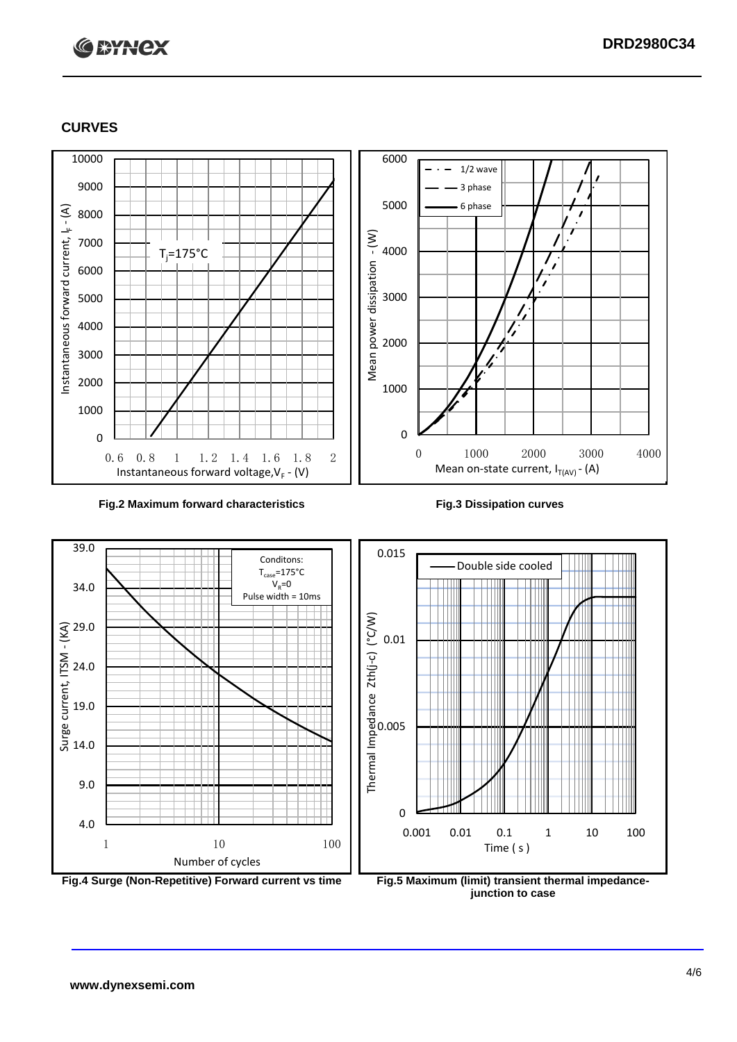# **C BYNCX**

## **CURVES**



### **Fig.2 Maximum forward characteristics Fig.3 Dissipation curves**



**junction to case**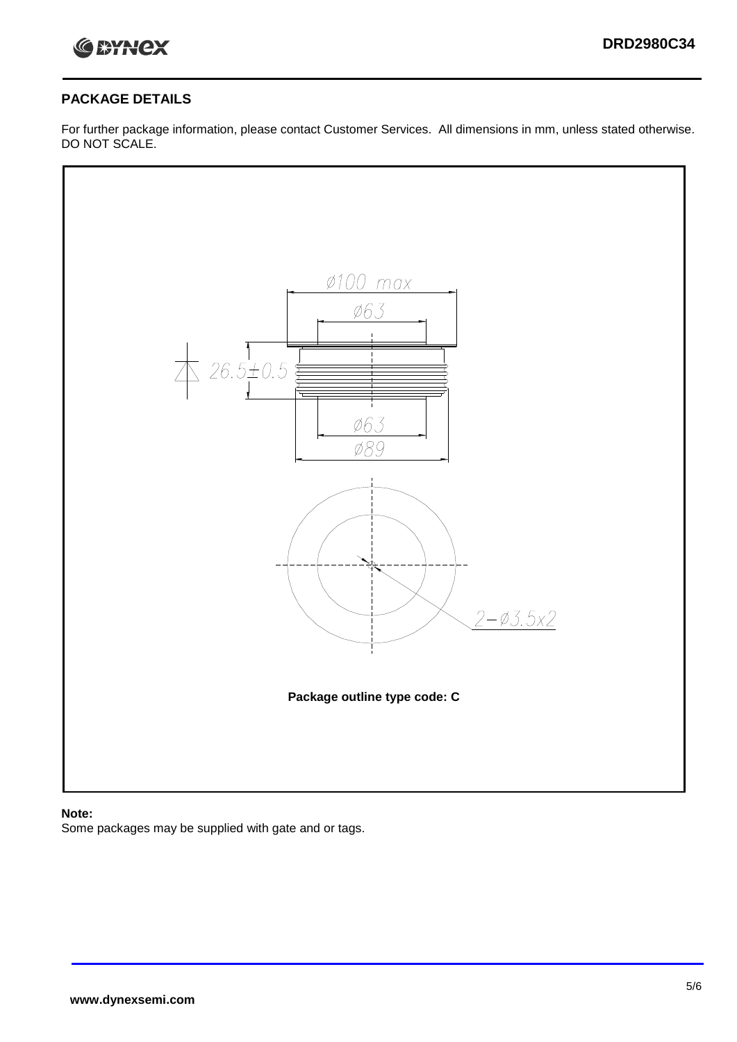

## **PACKAGE DETAILS**

For further package information, please contact Customer Services. All dimensions in mm, unless stated otherwise. DO NOT SCALE.



## **Note:**

Some packages may be supplied with gate and or tags.